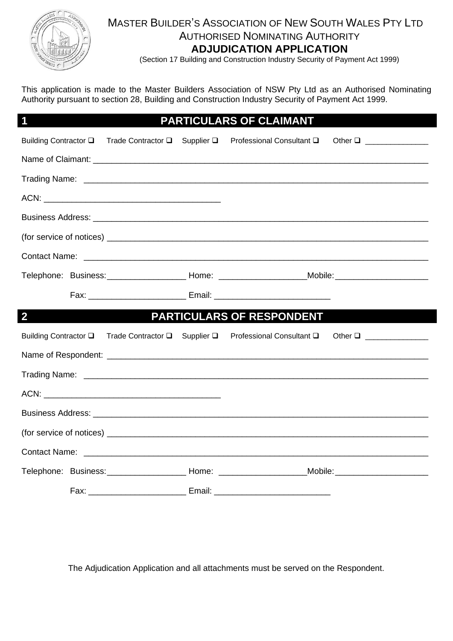

## MASTER BUILDER'S ASSOCIATION OF NEW SOUTH WALES PTY LTD AUTHORISED NOMINATING AUTHORITY **ADJUDICATION APPLICATION**

(Section 17 Building and Construction Industry Security of Payment Act 1999)

This application is made to the Master Builders Association of NSW Pty Ltd as an Authorised Nominating Authority pursuant to section 28, Building and Construction Industry Security of Payment Act 1999.

## **1 PARTICULARS OF CLAIMANT**

|                |  | Building Contractor □ Trade Contractor □ Supplier □ Professional Consultant □ Other □ ____________                                                                                                                             |  |
|----------------|--|--------------------------------------------------------------------------------------------------------------------------------------------------------------------------------------------------------------------------------|--|
|                |  |                                                                                                                                                                                                                                |  |
|                |  |                                                                                                                                                                                                                                |  |
|                |  |                                                                                                                                                                                                                                |  |
|                |  |                                                                                                                                                                                                                                |  |
|                |  |                                                                                                                                                                                                                                |  |
|                |  | Contact Name: contact Name: contact Name: contact Name: contact Name: contact Name: contact Name: contact Name: contact Name: contact Name: contact Name: contact Name: contact Name: contact Name: contact Name: contact Name |  |
|                |  | Telephone: Business: ________________________Home: ________________________Mobile: __________________________                                                                                                                  |  |
|                |  | Fax: __________________________________ Email: _________________________________                                                                                                                                               |  |
| $\overline{2}$ |  | PARTICULARS OF RESPONDENT                                                                                                                                                                                                      |  |
|                |  | Building Contractor □ Trade Contractor □ Supplier □ Professional Consultant □ Other □ ____________                                                                                                                             |  |
|                |  |                                                                                                                                                                                                                                |  |
|                |  |                                                                                                                                                                                                                                |  |
|                |  |                                                                                                                                                                                                                                |  |
|                |  |                                                                                                                                                                                                                                |  |
|                |  |                                                                                                                                                                                                                                |  |
|                |  |                                                                                                                                                                                                                                |  |
|                |  | Telephone: Business: _________________________Home: __________________________Mobile: ________________________                                                                                                                 |  |
|                |  |                                                                                                                                                                                                                                |  |

The Adjudication Application and all attachments must be served on the Respondent.